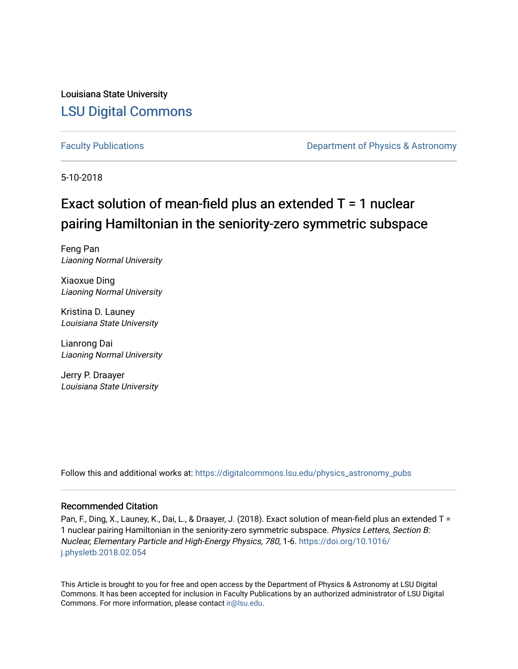Louisiana State University [LSU Digital Commons](https://digitalcommons.lsu.edu/)

[Faculty Publications](https://digitalcommons.lsu.edu/physics_astronomy_pubs) **Exercise 2 and Table 2 and Table 2 and Table 2 and Table 2 and Table 2 and Table 2 and Table 2 and Table 2 and Table 2 and Table 2 and Table 2 and Table 2 and Table 2 and Table 2 and Table 2 and Table** 

5-10-2018

# Exact solution of mean-field plus an extended T = 1 nuclear pairing Hamiltonian in the seniority-zero symmetric subspace

Feng Pan Liaoning Normal University

Xiaoxue Ding Liaoning Normal University

Kristina D. Launey Louisiana State University

Lianrong Dai Liaoning Normal University

Jerry P. Draayer Louisiana State University

Follow this and additional works at: [https://digitalcommons.lsu.edu/physics\\_astronomy\\_pubs](https://digitalcommons.lsu.edu/physics_astronomy_pubs?utm_source=digitalcommons.lsu.edu%2Fphysics_astronomy_pubs%2F1681&utm_medium=PDF&utm_campaign=PDFCoverPages) 

### Recommended Citation

Pan, F., Ding, X., Launey, K., Dai, L., & Draayer, J. (2018). Exact solution of mean-field plus an extended T = 1 nuclear pairing Hamiltonian in the seniority-zero symmetric subspace. Physics Letters, Section B: Nuclear, Elementary Particle and High-Energy Physics, 780, 1-6. [https://doi.org/10.1016/](https://doi.org/10.1016/j.physletb.2018.02.054) [j.physletb.2018.02.054](https://doi.org/10.1016/j.physletb.2018.02.054) 

This Article is brought to you for free and open access by the Department of Physics & Astronomy at LSU Digital Commons. It has been accepted for inclusion in Faculty Publications by an authorized administrator of LSU Digital Commons. For more information, please contact [ir@lsu.edu](mailto:ir@lsu.edu).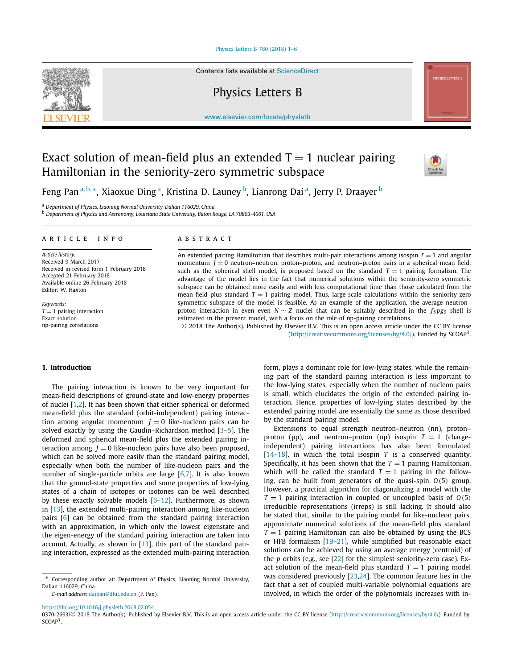#### [Physics Letters B 780 \(2018\) 1–6](https://doi.org/10.1016/j.physletb.2018.02.054)



Contents lists available at [ScienceDirect](http://www.ScienceDirect.com/)

Physics Letters B

[www.elsevier.com/locate/physletb](http://www.elsevier.com/locate/physletb)

## Exact solution of mean-field plus an extended  $T = 1$  nuclear pairing Hamiltonian in the seniority-zero symmetric subspace



Feng Pan <sup>a</sup>*,*b*,*∗, Xiaoxue Ding a, Kristina D. Launey b, Lianrong Dai a, Jerry P. Draayer <sup>b</sup>

<sup>a</sup> *Department of Physics, Liaoning Normal University, Dalian 116029, China*

<sup>b</sup> *Department of Physics and Astronomy, Louisiana State University, Baton Rouge, LA 70803-4001, USA*

#### A R T I C L E I N F O A B S T R A C T

*Article history:* Received 9 March 2017 Received in revised form 1 February 2018 Accepted 21 February 2018 Available online 26 February 2018 Editor: W. Haxton

*Keywords:*  $T = 1$  pairing interaction Exact solution np-pairing correlations

An extended pairing Hamiltonian that describes multi-pair interactions among isospin  $T = 1$  and angular momentum  $J = 0$  neutron–neutron, proton–proton, and neutron–proton pairs in a spherical mean field, such as the spherical shell model, is proposed based on the standard  $T = 1$  pairing formalism. The advantage of the model lies in the fact that numerical solutions within the seniority-zero symmetric subspace can be obtained more easily and with less computational time than those calculated from the mean-field plus standard  $T = 1$  pairing model. Thus, large-scale calculations within the seniority-zero symmetric subspace of the model is feasible. As an example of the application, the average neutron– proton interaction in even–even *N* ∼ *Z* nuclei that can be suitably described in the *f*<sup>5</sup> *pg*<sup>9</sup> shell is estimated in the present model, with a focus on the role of np-pairing correlations.

© 2018 The Author(s). Published by Elsevier B.V. This is an open access article under the CC BY license [\(http://creativecommons.org/licenses/by/4.0/\)](http://creativecommons.org/licenses/by/4.0/). Funded by  $SCOAP<sup>3</sup>$ .

#### **1. Introduction**

The pairing interaction is known to be very important for mean-field descriptions of ground-state and low-energy properties of nuclei [\[1,2\]](#page-6-0). It has been shown that either spherical or deformed mean-field plus the standard (orbit-independent) pairing interaction among angular momentum  $J = 0$  like-nucleon pairs can be solved exactly by using the Gaudin–Richardson method [\[3–5\]](#page-6-0). The deformed and spherical mean-field plus the extended pairing interaction among  *like-nucleon pairs have also been proposed,* which can be solved more easily than the standard pairing model, especially when both the number of like-nucleon pairs and the number of single-particle orbits are large  $[6,7]$ . It is also known that the ground-state properties and some properties of low-lying states of a chain of isotopes or isotones can be well described by these exactly solvable models  $[6-12]$ . Furthermore, as shown in [\[13\]](#page-6-0), the extended multi-pairing interaction among like-nucleon pairs [\[6\]](#page-6-0) can be obtained from the standard pairing interaction with an approximation, in which only the lowest eigenstate and the eigen-energy of the standard pairing interaction are taken into account. Actually, as shown in [\[13\]](#page-6-0), this part of the standard pairing interaction, expressed as the extended multi-pairing interaction

*E-mail address:* [daipan@dlut.edu.cn](mailto:daipan@dlut.edu.cn) (F. Pan).

form, plays a dominant role for low-lying states, while the remaining part of the standard pairing interaction is less important to the low-lying states, especially when the number of nucleon pairs is small, which elucidates the origin of the extended pairing interaction. Hence, properties of low-lying states described by the extended pairing model are essentially the same as those described by the standard pairing model.

Extensions to equal strength neutron–neutron (nn), proton– proton (pp), and neutron–proton (np) isospin  $T = 1$  (chargeindependent) pairing interactions has also been formulated [\[14–18\]](#page-6-0), in which the total isospin *T* is a conserved quantity. Specifically, it has been shown that the  $T = 1$  pairing Hamiltonian, which will be called the standard  $T = 1$  pairing in the following, can be built from generators of the quasi-spin  $O(5)$  group. However, a practical algorithm for diagonalizing a model with the  $T = 1$  pairing interaction in coupled or uncoupled basis of  $O(5)$ irreducible representations (irreps) is still lacking. It should also be stated that, similar to the pairing model for like-nucleon pairs, approximate numerical solutions of the mean-field plus standard  $T = 1$  pairing Hamiltonian can also be obtained by using the BCS or HFB formalism  $[19-21]$ , while simplified but reasonable exact solutions can be achieved by using an average energy (centroid) of the *p* orbits (e.g., see [\[22\]](#page-6-0) for the simplest seniority-zero case). Exact solution of the mean-field plus standard  $T = 1$  pairing model was considered previously [\[23,24\]](#page-6-0). The common feature lies in the fact that a set of coupled multi-variable polynomial equations are involved, in which the order of the polynomials increases with in-

<https://doi.org/10.1016/j.physletb.2018.02.054>

0370-2693/© 2018 The Author(s). Published by Elsevier B.V. This is an open access article under the CC BY license [\(http://creativecommons.org/licenses/by/4.0/](http://creativecommons.org/licenses/by/4.0/)). Funded by SCOAP<sup>3</sup>.

Corresponding author at: Department of Physics, Liaoning Normal University, Dalian 116029, China.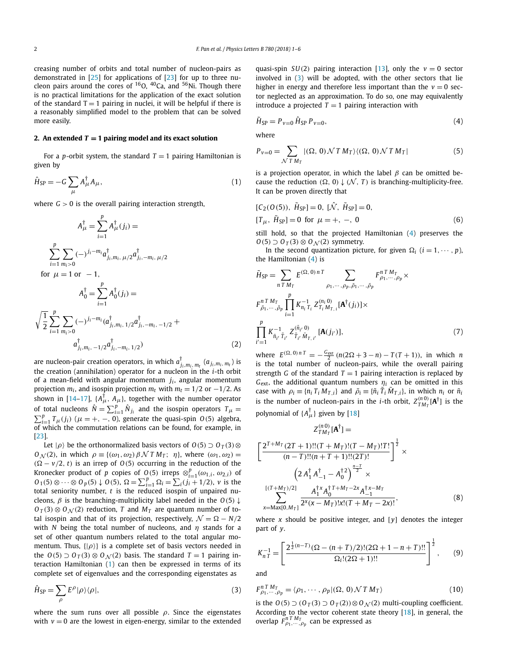<span id="page-2-0"></span>creasing number of orbits and total number of nucleon-pairs as demonstrated in [\[25\]](#page-6-0) for applications of [\[23\]](#page-6-0) for up to three nucleon pairs around the cores of  $^{16}O$ ,  $^{40}Ca$ , and  $^{56}Ni$ . Though there is no practical limitations for the application of the exact solution of the standard  $T = 1$  pairing in nuclei, it will be helpful if there is a reasonably simplified model to the problem that can be solved more easily.

#### **2.** An extended  $T = 1$  pairing model and its exact solution

For a *p*-orbit system, the standard  $T = 1$  pairing Hamiltonian is given by

$$
\hat{H}_{\rm SP} = -G \sum_{\mu} A_{\mu}^{\dagger} A_{\mu},\tag{1}
$$

where  $G > 0$  is the overall pairing interaction strength,

$$
A_{\mu}^{\dagger} = \sum_{i=1}^{p} A_{\mu}^{\dagger} (j_{i}) =
$$
\n
$$
\sum_{i=1}^{p} \sum_{m_{i}>0} (-)^{j_{i}-m_{i}} a_{j_{i},m_{i},\mu/2}^{\dagger} a_{j_{i},-m_{i},\mu/2}^{\dagger}
$$
\nfor  $\mu = 1$  or  $-1$ ,  
\n
$$
A_{0}^{\dagger} = \sum_{i=1}^{p} A_{0}^{\dagger} (j_{i}) =
$$
\n
$$
\sqrt{\frac{1}{2}} \sum_{i=1}^{p} \sum_{m_{i}>0} (-)^{j_{i}-m_{i}} (a_{j_{i},m_{i},1/2}^{\dagger} a_{j_{i},-m_{i},-1/2}^{\dagger} + a_{j_{i},m_{i},-1/2}^{d} a_{j_{i},-m_{i},1/2}^{\dagger})
$$
\n(2)

are nucleon-pair creation operators, in which  $a_{j_i,m_i,\,m_t}^{\dagger}\,(a_{j_i,m_i,\,m_t})$  is the creation (annihilation) operator for a nucleon in the *i*-th orbit of a mean-field with angular momentum *ji* , angular momentum projection  $m_i$ , and isospin projection  $m_t$  with  $m_t = 1/2$  or  $-1/2$ . As shown in [\[14–17\]](#page-6-0),  $\{A^{\dagger}_{\mu}, A_{\mu}\}$ , together with the number operator of total nucleons  $\hat{N} = \sum_{i=1}^{p} \hat{N}_{j_i}$  and the isospin operators  $T_{\mu} =$  $\sum_{i=1}^{p} T_{\mu}(j_i)$  ( $\mu = +, -, 0$ ), generate the quasi-spin *O*(5) algebra, of which the commutation relations can be found, for example, in [\[23\]](#page-6-0).

Let  $|\rho\rangle$  be the orthonormalized basis vectors of  $O(5) \supset O_T(3) \otimes$ *O*<sub>N</sub> (2), in which  $\rho \equiv \{(\omega_1, \omega_2) \beta \mathcal{N} T M_T; \eta\}$ , where  $(\omega_1, \omega_2) =$  $(Q - v/2, t)$  is an irrep of  $O(5)$  occurring in the reduction of the Kronecker product of *p* copies of *O*<sub>(</sub>5) irreps  $\otimes_{i=1}^{p} (\omega_{1,i}, \omega_{2,i})$  of *O*<sub>1</sub>(5) ⊗ ··· ⊗ *O*<sub>*p*</sub>(5) ↓ *O*(5),  $\Omega = \sum_{i=1}^{p} \Omega_i = \sum_i (j_i + 1/2)$ , *v* is the total seniority number, *t* is the reduced isospin of unpaired nucleons,  $\beta$  is the branching-multiplicity label needed in the  $O(5) \downarrow$  $O_T(3) \otimes O_N(2)$  reduction, *T* and  $M_T$  are quantum number of total isospin and that of its projection, respectively,  $\mathcal{N} = \Omega - N/2$ with *N* being the total number of nucleons, and *η* stands for a set of other quantum numbers related to the total angular momentum. Thus,  $\{|\rho\rangle\}$  is a complete set of basis vectors needed in the  $O(5)$   $\supset$   $O_T(3)$   $\otimes$   $O_N(2)$  basis. The standard  $T = 1$  pairing interaction Hamiltonian (1) can then be expressed in terms of its complete set of eigenvalues and the corresponding eigenstates as

$$
\hat{H}_{\rm SP} = \sum_{\rho} E^{\rho} |\rho\rangle\langle\rho|,\tag{3}
$$

where the sum runs over all possible *ρ*. Since the eigenstates with  $v = 0$  are the lowest in eigen-energy, similar to the extended quasi-spin *SU*(2) pairing interaction [\[13\]](#page-6-0), only the  $v = 0$  sector involved in (3) will be adopted, with the other sectors that lie higher in energy and therefore less important than the  $v = 0$  sector neglected as an approximation. To do so, one may equivalently introduce a projected  $T = 1$  pairing interaction with

$$
\tilde{H}_{\rm SP} = P_{\nu=0} \hat{H}_{\rm SP} P_{\nu=0},\tag{4}
$$

where

$$
P_{v=0} = \sum_{\mathcal{N} \mathcal{T} M_T} |(\Omega, 0) \mathcal{N} \mathcal{T} M_T\rangle \langle (\Omega, 0) \mathcal{N} \mathcal{T} M_T|
$$
 (5)

is a projection operator, in which the label *β* can be omitted because the reduction  $(\Omega, 0) \downarrow (\mathcal{N}, T)$  is branching-multiplicity-free. It can be proven directly that

$$
[C_2(O(5)), \tilde{H}_{SP}] = 0, [\hat{N}, \tilde{H}_{SP}] = 0,[T_{\mu}, \tilde{H}_{SP}] = 0 \text{ for } \mu = +, -, 0
$$
 (6)

still hold, so that the projected Hamiltonian (4) preserves the *O*(5*)* ⊃ *O*<sub>*T*</sub>(3*)* ⊗ *O*<sub>*N*</sub>(2*)* symmetry.

In the second quantization picture, for given  $\Omega_i$  ( $i = 1, \dots, p$ ), the Hamiltonian (4) is

$$
\tilde{H}_{SP} = \sum_{n \text{ T } M_T} E^{(\Omega, 0) n \text{ T}} \sum_{\rho_1, \dots, \rho_p, \tilde{\rho}_1, \dots, \tilde{\rho}_p} F^{n \text{ T } M_T}_{\rho_1, \dots, \rho_p}
$$
\n
$$
F^{n \text{ T } M_T}_{\tilde{\rho}_1, \dots, \tilde{\rho}_p} \prod_{i=1}^p K_{n_i \text{ T}_i}^{-1} Z^{(n_i \text{ 0})}_{T_i M_{T, i}} [\mathbf{A}^\dagger(j_i)] \times
$$
\n
$$
\prod_{i'=1}^p K_{\tilde{n}_{i'}}^{-1} Z^{(\tilde{n}_{i'} \text{ 0})}_{T_{i'} \tilde{M}_{T, i'}} [\mathbf{A}(j_{i'})],
$$
\n(7)

where  $E^{(\Omega, 0) n T} = -\frac{G_{\text{ext}}}{2} (n(2\Omega + 3 - n) - T(T + 1))$ , in which *n* is the total number of nucleon-pairs, while the overall pairing strength *G* of the standard  $T = 1$  pairing interaction is replaced by  $G_{\text{ext}}$ , the additional quantum numbers  $\eta_i$  can be omitted in this case with  $\rho_i \equiv \{n_i T_i M_{T,i}\}\$  and  $\tilde{\rho}_i \equiv \{\tilde{n}_i \tilde{T}_i \tilde{M}_{T,i}\}\$ , in which  $n_i$  or  $\tilde{n}_i$ is the number of nucleon-pairs in the *i*-th orbit,  $Z_{TM_T}^{(n,0)}[A^{\dagger}]$  is the polynomial of  $\{A_{\mu}^{\dagger}\}\$  given by [\[18\]](#page-6-0)

$$
Z_{TM_{T}}^{(n0)}[\mathbf{A}^{\dagger}] =
$$
\n
$$
\left[ \frac{2^{T+M_{T}} (2T+1)!!(T+M_{T})!(T-M_{T})!T!}{(n-T)!!(n+T+1)!!(2T)!} \right]^{\frac{1}{2}} \times
$$
\n
$$
\left( 2 A_{1}^{\dagger} A_{-1}^{\dagger} - A_{0}^{\dagger 2} \right)^{\frac{n-T}{2}} \times
$$
\n
$$
\sum_{x=\text{Max}[0,M_{T}]} \frac{A_{1}^{\dagger x} A_{0}^{\dagger T+M_{T}-2x} A_{-1}^{\dagger x-M_{T}}}{2^{x}(x-M_{T})!x!(T+M_{T}-2x)!},
$$
\n(8)

where *x* should be positive integer, and [*y*] denotes the integer part of *y*.

$$
K_{nT}^{-1} = \left[ \frac{2^{\frac{1}{2}(n-T)} (\Omega - (n+T)/2)! (2\Omega + 1 - n + T)!!}{\Omega_i! (2\Omega + 1)!!} \right]^{\frac{1}{2}},\qquad(9)
$$

and

$$
F_{\rho_1,\cdots,\rho_p}^{n \, T \, M_T} = \langle \rho_1,\cdots,\rho_p | (\Omega,\,0) \, \mathcal{N} \, T \, M_T \rangle \tag{10}
$$

is the *O*(5) ⊃  $(O_T(3)$  ⊃  $O_T(2))$ ⊗  $O_N(2)$  multi-coupling coefficient. According to the vector coherent state theory [\[18\]](#page-6-0), in general, the overlap  $F_{\rho_1,\dots,\rho_p}^{n T M_T}$  can be expressed as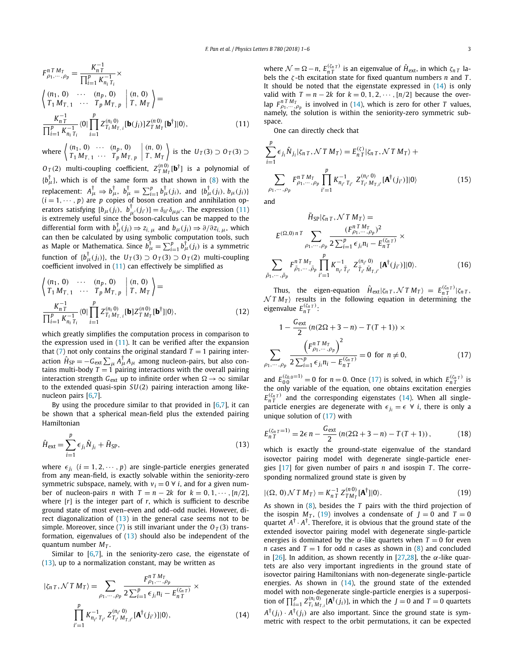<span id="page-3-0"></span>
$$
F_{\rho_1,\dots,\rho_p}^n = \frac{K_{nT}^{-1}}{\prod_{i=1}^p K_{n_i T_i}^{-1}} \times
$$
  
\n
$$
\begin{aligned}\n\left( \begin{array}{ccc} (n_1, 0) & \cdots & (n_p, 0) \\ T_1 M_{T,1} & \cdots & T_p M_{T,p} \end{array} \middle| (n, 0) \right) \\
\frac{K_{nT}^{-1}}{\prod_{i=1}^p K_{n_i T_i}^{-1}} \langle 0 | \prod_{i=1}^p Z_{T_i M_{T,i}}^{(n_i 0)} [\mathbf{b}(j_i)] Z_{T M_T}^{(n_0)} [\mathbf{b}^\dagger] | 0 \rangle,\n\end{aligned}
$$
\n(11)

where  $\begin{pmatrix} (n_1, 0) & \cdots & (n_p, 0) \\ T & M & T & M \end{pmatrix}$  $T_1 M_{T, 1} \cdots T_p M_{T, p}$  $\begin{array}{c} \begin{array}{c} \begin{array}{c} \begin{array}{c} \end{array}\\ \begin{array}{c} \end{array} \end{array} \end{array} \end{array}$ *(n,* 0*) T , MT*  $\Big\}$  is the *U<sub>T</sub>*(3*)* ⊃ *O<sub>T</sub>*(3*)* ⊃

 $O_T(2)$  multi-coupling coefficient,  $Z_{T M_T}^{(n,0)}[\mathbf{b}^\dagger]$  is a polynomial of  ${b^{\dagger}_{\mu}}$ , which is of the same form as that shown in [\(8\)](#page-2-0) with the replacement:  $A^{\dagger}_{\mu} \Rightarrow b^{\dagger}_{\mu}, b^{\dagger}_{\mu} = \sum_{i=1}^{p} b^{\dagger}_{\mu}(j_i)$ , and  $\{b^{\dagger}_{\mu}(j_i), b_{\mu}(j_i)\}$  $(i = 1, \dots, p)$  are p copies of boson creation and annihilation operators satisfying  $[b_{\mu}(j_i), b_{\mu'}^{\dagger}(j_i')] = \delta_{ii'} \delta_{\mu \mu'}$ . The expression (11) is extremely useful since the boson-calculus can be mapped to the differential form with  $b^\dagger_\mu(j_i) \Rightarrow z_{i,\,\mu}$  and  $b_\mu(j_i) \Rightarrow \partial/\partial z_{i,\,\mu}$ , which can then be calculated by using symbolic computation tools, such as Maple or Mathematica. Since  $b^{\dagger}_{\mu} = \sum_{i=1}^{p} b^{\dagger}_{\mu}(j_{i})$  is a symmetric function of  $\{b^{\dagger}_{\mu}(j_i)\}$ , the  $U_T(3) \supset O_T(3) \supset O_T(2)$  multi-coupling coefficient involved in (11) can effectively be simplified as

$$
\begin{aligned}\n\left\langle n_1, 0 \right\rangle & \cdots & \left\langle n_p, 0 \right\rangle \\
T_1 M_{T, 1} & \cdots & T_p M_{T, p} \mid T, M_T \right\rangle &= \\
\frac{K_{nT}^{-1}}{\prod_{i=1}^p K_{n_i}^{-1}} \langle 0 | \prod_{i=1}^p Z_{T_i M_{T, i}}^{(n_i 0)} [\mathbf{b}] Z_{T M_T}^{(n_0)} [\mathbf{b}^\dagger] | 0 \rangle, \tag{12}\n\end{aligned}
$$

which greatly simplifies the computation process in comparison to the expression used in (11). It can be verified after the expansion that [\(7\)](#page-2-0) not only contains the original standard  $T = 1$  pairing interaction  $\hat{H}_{SP} = -G_{ext} \sum_{\mu} A_{\mu}^{\dagger} A_{\mu}$  among nucleon-pairs, but also contains multi-body  $T = 1$  pairing interactions with the overall pairing interaction strength  $G_{ext}$  up to infinite order when  $\Omega \rightarrow \infty$  similar to the extended quasi-spin *SU(*2*)* pairing interaction among likenucleon pairs [\[6,7\]](#page-6-0).

By using the procedure similar to that provided in  $[6,7]$ , it can be shown that a spherical mean-field plus the extended pairing Hamiltonian

$$
\hat{H}_{\text{ext}} = \sum_{i=1}^{p} \epsilon_{j_i} \hat{N}_{j_i} + \tilde{H}_{\text{SP}},
$$
\n(13)

where  $\epsilon_{i}$  (*i* = 1, 2,  $\cdots$  *, p*) are single-particle energies generated from any mean-field, is exactly solvable within the seniority-zero symmetric subspace, namely, with  $v_i = 0 \forall i$ , and for a given number of nucleon-pairs *n* with  $T = n - 2k$  for  $k = 0, 1, \dots, \lceil n/2 \rceil$ , where [*r*] is the integer part of *r*, which is sufficient to describe ground state of most even–even and odd–odd nuclei. However, direct diagonalization of (13) in the general case seems not to be simple. Moreover, since [\(7\)](#page-2-0) is still invariant under the  $O_T(3)$  transformation, eigenvalues of (13) should also be independent of the quantum number *MT* .

Similar to  $[6,7]$ , in the seniority-zero case, the eigenstate of  $(13)$ , up to a normalization constant, may be written as

$$
|\zeta_{n\,T}, \mathcal{N}\,T\,M_{T}\rangle = \sum_{\rho_{1}, \cdots, \rho_{p}} \frac{F_{\rho_{1}, \cdots, \rho_{p}}^{n\,T\,M_{T}}}{2\sum_{i=1}^{p} \epsilon_{j_{i}} n_{i} - E_{n\,T}^{(\zeta_{n\,T})}} \times \prod_{i'=1}^{p} K_{n_{i'}\,T_{i'}}^{-1} Z_{T_{i'}\,M_{T,i'}}^{(n_{i'}\,0)} [\mathbf{A}^{\dagger}(j_{i'})]|0\rangle, \tag{14}
$$

where  $\mathcal{N} = \Omega - n$ ,  $E_{nT}^{(\zeta_n T)}$  is an eigenvalue of  $\hat{H}_{ext}$ , in which  $\zeta_{nT}$  labels the *ζ* -th excitation state for fixed quantum numbers *n* and *T* . It should be noted that the eigenstate expressed in (14) is only valid with  $T = n - 2k$  for  $k = 0, 1, 2, \cdots, [n/2]$  because the overlap  $F_{\rho_1,\cdots,\rho_p}^{\eta\;T\;M_T}$  is involved in (14), which is zero for other *T* values, namely, the solution is within the seniority-zero symmetric subspace.

One can directly check that

$$
\sum_{i=1}^{p} \epsilon_{j_i} \hat{N}_{j_i} | \zeta_{n\,T}, \mathcal{N} \, T \, M_T \rangle = E_{n\,T}^{(\zeta)} | \zeta_{n\,T}, \mathcal{N} \, T \, M_T \rangle +
$$
\n
$$
\sum_{\rho_1, \cdots, \rho_p} F_{\rho_1, \cdots, \rho_p}^{n\,T \, M_T} \prod_{i'=1}^{p} K_{n_{i'} \, T_{i'}}^{-1} Z_{T_{i'} \, M_{T,i'}}^{(n_{i'} \, 0)} [\mathbf{A}^{\dagger}(j_{i'})] | 0 \rangle \tag{15}
$$

and

 $$ 

$$
\tilde{H}_{\text{SP}}|\zeta_{n\,T}, \mathcal{N}\,T\,M_{T}\rangle =
$$
\n
$$
E^{(\Omega,0)\,n\,T} \sum_{\rho_{1},\dots,\rho_{p}} \frac{(F_{\rho_{1},\dots,\rho_{p}}^{n\,T\,M_{T}})^{2}}{2\sum_{i=1}^{p} \epsilon_{j_{i}} n_{i} - E_{n\,T}^{(\zeta_{n\,T})}} \times
$$
\n
$$
\sum_{1,\dots,\tilde{\rho}_{p}} F_{\tilde{\rho}_{1},\dots,\tilde{\rho}_{p}}^{n\,T\,M_{T}} \prod_{i'=1}^{p} K_{n_{i'}\,\tilde{T}_{i'}}^{-1} Z_{\tilde{T}_{i'}\,\tilde{M}_{T,i'}}^{(n_{i'}\,0)} [\mathbf{A}^{\dagger}(j_{i'})]|0\rangle. \tag{16}
$$

Thus, the eigen-equation  $\hat{H}_{ext}|\zeta_{n,T}, \mathcal{N} |T M_T\rangle = E_{nT}^{(\zeta_{n,T})}|\zeta_{n,T},$  $NTM_T$ ) results in the following equation in determining the eigenvalue *E(ζn T ) n T* :

$$
1 - \frac{G_{\text{ext}}}{2} (n(2\Omega + 3 - n) - T(T + 1)) \times
$$
  

$$
\sum_{\rho_1, \dots, \rho_p} \frac{\left(F_{\rho_1, \dots, \rho_p}^{n \, T \, M_T}\right)^2}{2 \sum_{i=1}^p \epsilon_{j_i} n_i - E_{n \, T}^{(\zeta_{n \, T})}} = 0 \text{ for } n \neq 0,
$$
 (17)

and  $E_{00}^{(\zeta_{0,0}=1)} = 0$  for  $n = 0$ . Once (17) is solved, in which  $E_{nT}^{(\zeta_{nT})}$  is the only variable of the equation, one obtains excitation energies  $E_{nT}^{(\zeta_{nT})}$  and the corresponding eigenstates (14). When all singleparticle energies are degenerate with  $\epsilon_{i} = \epsilon \ \forall \ i$ , there is only a unique solution of (17) with

$$
E_{n\,T}^{(\zeta_{n\,T}=1)} = 2\epsilon \, n - \frac{G_{\text{ext}}}{2} \left( n(2\Omega + 3 - n) - T(T + 1) \right),\tag{18}
$$

which is exactly the ground-state eigenvalue of the standard isovector pairing model with degenerate single-particle energies [\[17\]](#page-6-0) for given number of pairs *n* and isospin *T* . The corresponding normalized ground state is given by

$$
|(\Omega, 0) \mathcal{N} T M_T\rangle = K_{nT}^{-1} Z_{T M_T}^{(n0)} [\mathbf{A}^\dagger]|0\rangle.
$$
 (19)

As shown in [\(8\)](#page-2-0), besides the *T* pairs with the third projection of the isospin  $M_T$ , (19) involves a condensate of  $J = 0$  and  $T = 0$ quartet  $A^{\dagger} \cdot A^{\dagger}$ . Therefore, it is obvious that the ground state of the extended isovector pairing model with degenerate single-particle energies is dominated by the  $\alpha$ -like quartets when  $T = 0$  for even *n* cases and  $T = 1$  for odd *n* cases as shown in [\(8\)](#page-2-0) and concluded in [\[26\]](#page-6-0). In addition, as shown recently in [\[27,28\]](#page-6-0), the  $\alpha$ -like quartets are also very important ingredients in the ground state of isovector pairing Hamiltonians with non-degenerate single-particle energies. As shown in (14), the ground state of the extended model with non-degenerate single-particle energies is a superposition of  $\prod_{i=1}^{p} Z_{T_i M_{T,i}}^{(n_i 0)}$  *A*<sup>†</sup>(*j<sub>i</sub>*)], in which the *J* = 0 and *T* = 0 quartets  $A^{\dagger}(j_i) \cdot A^{\dagger}(j_i)$  are also important. Since the ground state is symmetric with respect to the orbit permutations, it can be expected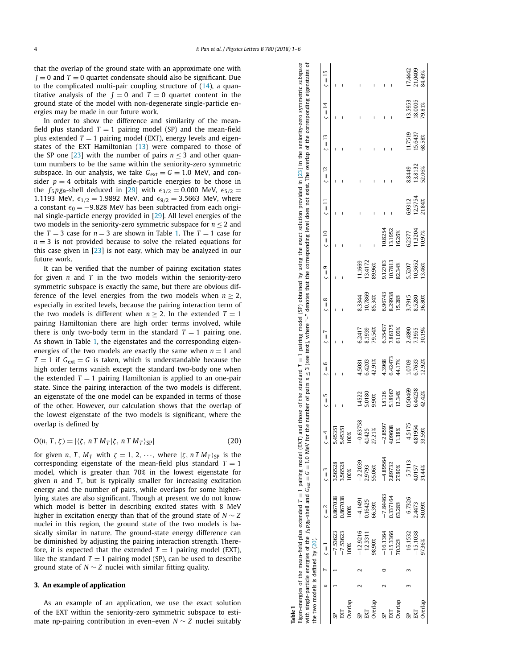that the overlap of the ground state with an approximate one with  $J = 0$  and  $T = 0$  quartet condensate should also be significant. Due to the complicated multi-pair coupling structure of [\(14\)](#page-3-0), a quantitative analysis of the  $J = 0$  and  $T = 0$  quartet content in the ground state of the model with non-degenerate single-particle energies may be made in our future work.

In order to show the difference and similarity of the meanfield plus standard  $T = 1$  pairing model (SP) and the mean-field plus extended  $T = 1$  pairing model (EXT), energy levels and eigenstates of the EXT Hamiltonian [\(13\)](#page-3-0) were compared to those of the SP one [\[23\]](#page-6-0) with the number of pairs  $n \leq 3$  and other quantum numbers to be the same within the seniority-zero symmetric subspace. In our analysis, we take  $G_{ext} = G = 1.0$  MeV, and consider  $p = 4$  orbitals with single-particle energies to be those in the  $f_5pg_9$ -shell deduced in [\[29\]](#page-6-0) with  $\epsilon_{3/2} = 0.000$  MeV,  $\epsilon_{5/2} =$ 1.1193 MeV,  $\epsilon_{1/2} = 1.9892$  MeV, and  $\epsilon_{9/2} = 3.5663$  MeV, where a constant  $\epsilon_0 = -9.828$  MeV has been subtracted from each original single-particle energy provided in [\[29\]](#page-6-0). All level energies of the two models in the seniority-zero symmetric subspace for  $n \leq 2$  and the  $T = 3$  case for  $n = 3$  are shown in Table 1. The  $T = 1$  case for  $n = 3$  is not provided because to solve the related equations for this case given in [\[23\]](#page-6-0) is not easy, which may be analyzed in our future work.

It can be verified that the number of pairing excitation states for given *n* and *T* in the two models within the seniority-zero symmetric subspace is exactly the same, but there are obvious difference of the level energies from the two models when  $n \geq 2$ , especially in excited levels, because the pairing interaction term of the two models is different when  $n \geq 2$ . In the extended  $T = 1$ pairing Hamiltonian there are high order terms involved, while there is only two-body term in the standard  $T = 1$  pairing one. As shown in Table 1, the eigenstates and the corresponding eigenenergies of the two models are exactly the same when  $n = 1$  and  $T = 1$  if  $G_{ext} = G$  is taken, which is understandable because the high order terms vanish except the standard two-body one when the extended  $T = 1$  pairing Hamiltonian is applied to an one-pair state. Since the pairing interaction of the two models is different, an eigenstate of the one model can be expanded in terms of those of the other. However, our calculation shows that the overlap of the lowest eigenstate of the two models is significant, where the overlap is defined by

$$
O(n, T, \zeta) = |\langle \zeta, n \, T \, M_T | \zeta, n \, T \, M_T \rangle_{SP}| \tag{20}
$$

for given *n*, *T*,  $M_T$  with  $\zeta = 1, 2, \cdots$ , where  $|\zeta, nTM_T\rangle_{SP}$  is the corresponding eigenstate of the mean-field plus standard  $T = 1$ model, which is greater than 70% in the lowest eigenstate for given *n* and *T*, but is typically smaller for increasing excitation energy and the number of pairs, while overlaps for some higherlying states are also significant. Though at present we do not know which model is better in describing excited states with 8 MeV higher in excitation energy than that of the ground state of *N* ∼ *Z* nuclei in this region, the ground state of the two models is basically similar in nature. The ground-state energy difference can be diminished by adjusting the pairing interaction strength. Therefore, it is expected that the extended  $T = 1$  pairing model (EXT), like the standard  $T = 1$  pairing model (SP), can be used to describe ground state of  $N \sim Z$  nuclei with similar fitting quality.

#### **3. An example of application**

As an example of an application, we use the exact solution of the EXT within the seniority-zero symmetric subspace to estimate np-pairing contribution in even–even *N* ∼ *Z* nuclei suitably

| with single-particle energies of the $f_5p_{g3}$ -shell and $G_{\text{ext}} = G = 1.0$ MeV for the number of pairs $n \leq 3$ (see text), where "-" denotes that the corresponding level does not exist. The overlap of the corresponding e<br>12.5754<br>6.9312<br>∏<br>∪<br>0.8254<br>3.1952<br>1.3204<br>16.26%<br>$\zeta = 10$<br>6.2377<br>10.7813<br>11669<br>3.4172<br>912783<br>0.3652<br>89.96%<br>82.34%<br>5,5207<br>13.46%<br>$\zeta = 9$<br>6.96743<br>8.29938<br>0.7869<br>85.34%<br>15.28%<br>3.7915<br>36.80%<br>3.3344<br>8.5280<br>$\zeta = 8$<br>5.35437<br>'.86375<br>79.54%<br>2.4890<br>6.2417<br>61.06%<br>8.1939<br>30.19%<br>73955<br>$\zeta = 7$<br>6.42473<br>4.3968<br>42.91%<br>44.17%<br>6.4203<br>.0709<br>6.7633<br>4.5081<br>$\zeta = 6$<br>0.50469<br>6.44238<br>5.18967<br>12.34%<br>42.42%<br>.8126<br>5.0180<br>1.4522<br>9.90%<br>$\zeta = 5$<br>$-0.63758$<br>$-2.8597$<br>$-4.5175$<br>4.09608<br>4.81954<br>5.4535<br>5.4535<br>11425<br>27.21%<br>11.38%<br>$\zeta = 4$<br>100%<br>$-4.89564$<br>$-5.7113$<br>$-2.2039$<br>3.56528<br>3.56528<br>2.89732<br>27.80%<br>4.0157<br>2.9793<br>55.06%<br>1.44%<br>$\zeta = 3$<br>100%<br>$-7.84463$<br>367038<br>0.867038<br>1337164<br>$-6.7326$<br>$-4.1491$<br>116425<br>66.39%<br>63.28%<br>2.4473<br>50.09%<br>$\zeta = 2$<br>100% |                                    |  | Eigen-energies of the mean-field plus extended T = 1 pairing model (EXT) and those of the standard T = 1 pairing model (SP) obtained by using the exact solution provided in [23] in the senioticy-zero symmetric subspace |        |        |  |        |        |                          |              |              |                                           |
|------------------------------------------------------------------------------------------------------------------------------------------------------------------------------------------------------------------------------------------------------------------------------------------------------------------------------------------------------------------------------------------------------------------------------------------------------------------------------------------------------------------------------------------------------------------------------------------------------------------------------------------------------------------------------------------------------------------------------------------------------------------------------------------------------------------------------------------------------------------------------------------------------------------------------------------------------------------------------------------------------------------------------------------------------------------------------------------------------------------------------------------------------------------------------------------------------------------------------------------------------------------------------------------------------------------------------|------------------------------------|--|----------------------------------------------------------------------------------------------------------------------------------------------------------------------------------------------------------------------------|--------|--------|--|--------|--------|--------------------------|--------------|--------------|-------------------------------------------|
|                                                                                                                                                                                                                                                                                                                                                                                                                                                                                                                                                                                                                                                                                                                                                                                                                                                                                                                                                                                                                                                                                                                                                                                                                                                                                                                              | the two models is defined by (20). |  |                                                                                                                                                                                                                            |        |        |  |        |        |                          |              |              |                                           |
|                                                                                                                                                                                                                                                                                                                                                                                                                                                                                                                                                                                                                                                                                                                                                                                                                                                                                                                                                                                                                                                                                                                                                                                                                                                                                                                              | $\overline{1}$                     |  |                                                                                                                                                                                                                            |        |        |  |        |        | $\overline{2}$<br>∏<br>∪ | $\zeta = 13$ | $\zeta = 14$ | $\overline{1}$<br>$\overline{\mathbf{u}}$ |
|                                                                                                                                                                                                                                                                                                                                                                                                                                                                                                                                                                                                                                                                                                                                                                                                                                                                                                                                                                                                                                                                                                                                                                                                                                                                                                                              | $-7.53623$                         |  |                                                                                                                                                                                                                            |        |        |  |        |        |                          |              |              |                                           |
|                                                                                                                                                                                                                                                                                                                                                                                                                                                                                                                                                                                                                                                                                                                                                                                                                                                                                                                                                                                                                                                                                                                                                                                                                                                                                                                              | $-7.53623$                         |  |                                                                                                                                                                                                                            |        |        |  |        |        |                          |              |              |                                           |
|                                                                                                                                                                                                                                                                                                                                                                                                                                                                                                                                                                                                                                                                                                                                                                                                                                                                                                                                                                                                                                                                                                                                                                                                                                                                                                                              | $00\%$                             |  |                                                                                                                                                                                                                            |        |        |  |        |        |                          |              |              |                                           |
|                                                                                                                                                                                                                                                                                                                                                                                                                                                                                                                                                                                                                                                                                                                                                                                                                                                                                                                                                                                                                                                                                                                                                                                                                                                                                                                              | $-12.9216$                         |  |                                                                                                                                                                                                                            |        |        |  |        |        |                          |              |              |                                           |
|                                                                                                                                                                                                                                                                                                                                                                                                                                                                                                                                                                                                                                                                                                                                                                                                                                                                                                                                                                                                                                                                                                                                                                                                                                                                                                                              | $-12.3311$                         |  |                                                                                                                                                                                                                            |        |        |  |        |        |                          |              |              |                                           |
|                                                                                                                                                                                                                                                                                                                                                                                                                                                                                                                                                                                                                                                                                                                                                                                                                                                                                                                                                                                                                                                                                                                                                                                                                                                                                                                              | 98.90%                             |  |                                                                                                                                                                                                                            |        |        |  |        |        |                          |              |              |                                           |
|                                                                                                                                                                                                                                                                                                                                                                                                                                                                                                                                                                                                                                                                                                                                                                                                                                                                                                                                                                                                                                                                                                                                                                                                                                                                                                                              | $-16.1364$                         |  |                                                                                                                                                                                                                            |        |        |  |        |        |                          |              |              |                                           |
|                                                                                                                                                                                                                                                                                                                                                                                                                                                                                                                                                                                                                                                                                                                                                                                                                                                                                                                                                                                                                                                                                                                                                                                                                                                                                                                              | 15.3366                            |  |                                                                                                                                                                                                                            |        |        |  |        |        |                          |              |              |                                           |
|                                                                                                                                                                                                                                                                                                                                                                                                                                                                                                                                                                                                                                                                                                                                                                                                                                                                                                                                                                                                                                                                                                                                                                                                                                                                                                                              | 10.32%                             |  |                                                                                                                                                                                                                            |        |        |  |        |        |                          |              |              |                                           |
|                                                                                                                                                                                                                                                                                                                                                                                                                                                                                                                                                                                                                                                                                                                                                                                                                                                                                                                                                                                                                                                                                                                                                                                                                                                                                                                              | $-16.1532$                         |  |                                                                                                                                                                                                                            |        |        |  |        |        | 8.8449                   | 1.7519       | 13.5953      | 74442                                     |
|                                                                                                                                                                                                                                                                                                                                                                                                                                                                                                                                                                                                                                                                                                                                                                                                                                                                                                                                                                                                                                                                                                                                                                                                                                                                                                                              | $-15.1038$                         |  |                                                                                                                                                                                                                            |        |        |  |        |        | 13.8132                  | 15.6437      | 18.0005      | 21.0409                                   |
|                                                                                                                                                                                                                                                                                                                                                                                                                                                                                                                                                                                                                                                                                                                                                                                                                                                                                                                                                                                                                                                                                                                                                                                                                                                                                                                              | 97.36%                             |  |                                                                                                                                                                                                                            | 33.59% | 12.92% |  | 10.97% | 21.84% | 52.06%                   | 68.58%       | 79.81%       | 84.49%                                    |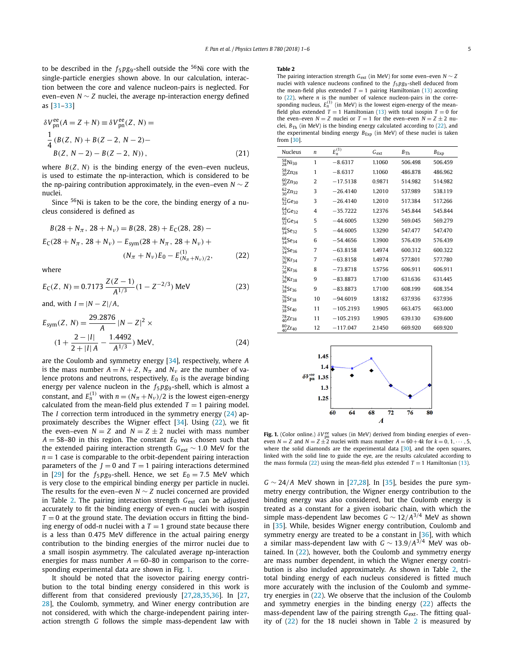<span id="page-5-0"></span>to be described in the  $f_5 p g_9$ -shell outside the <sup>56</sup>Ni core with the single-particle energies shown above. In our calculation, interaction between the core and valence nucleon-pairs is neglected. For even–even  $N \sim Z$  nuclei, the average np-interaction energy defined as [\[31–33\]](#page-6-0)

$$
\delta V_{\text{pn}}^{\text{ee}}(A = Z + N) \equiv \delta V_{\text{pn}}^{\text{ee}}(Z, N) =
$$
  
\n
$$
\frac{1}{4} (B(Z, N) + B(Z - 2, N - 2) -
$$
  
\n
$$
B(Z, N - 2) - B(Z - 2, N)),
$$
\n(21)

where  $B(Z, N)$  is the binding energy of the even–even nucleus, is used to estimate the np-interaction, which is considered to be the np-pairing contribution approximately, in the even–even  $N \sim Z$ nuclei.

Since <sup>56</sup>Ni is taken to be the core, the binding energy of a nucleus considered is defined as

$$
B(28 + N_{\pi}, 28 + N_{\nu}) = B(28, 28) + E_{C}(28, 28) - E_{C}(28 + N_{\pi}, 28 + N_{\nu}) - E_{sym}(28 + N_{\pi}, 28 + N_{\nu}) +
$$
  

$$
(N_{\pi} + N_{\nu})E_{0} - E_{(N_{\pi} + N_{\nu})/2}^{(1)},
$$
 (22)

where

$$
E_C(Z, N) = 0.7173 \frac{Z(Z-1)}{A^{1/3}} (1 - Z^{-2/3}) \text{ MeV}
$$
 (23)

and, with  $I = |N - Z|/A$ ,

$$
E_{sym}(Z, N) = \frac{29.2876}{A} |N - Z|^2 \times
$$
  
(1 +  $\frac{2 - |I|}{2 + |I| A} - \frac{1.4492}{A^{1/3}})$  MeV, (24)

are the Coulomb and symmetry energy [\[34\]](#page-6-0), respectively, where *A* is the mass number  $A = N + Z$ ,  $N_{\pi}$  and  $N_{\nu}$  are the number of valence protons and neutrons, respectively, *E*<sup>0</sup> is the average binding energy per valence nucleon in the  $f_5pg_9$ -shell, which is almost a constant, and  $E^{(1)}_n$  with  $n = (N_\pi + N_\nu)/2$  is the lowest eigen-energy calculated from the mean-field plus extended  $T = 1$  pairing model. The *I* correction term introduced in the symmetry energy (24) approximately describes the Wigner effect  $[34]$ . Using  $(22)$ , we fit the even–even  $N = Z$  and  $N = Z \pm 2$  nuclei with mass number  $A = 58-80$  in this region. The constant  $E_0$  was chosen such that the extended pairing interaction strength *G*ext ∼ 1*.*0 MeV for the  $n = 1$  case is comparable to the orbit-dependent pairing interaction parameters of the  $J = 0$  and  $T = 1$  pairing interactions determined in [\[29\]](#page-6-0) for the  $f_5pg_9$ -shell. Hence, we set  $E_0 = 7.5$  MeV which is very close to the empirical binding energy per particle in nuclei. The results for the even–even *N* ∼ *Z* nuclei concerned are provided in Table 2. The pairing interaction strength G<sub>ext</sub> can be adjusted accurately to fit the binding energy of even-*n* nuclei with isospin  $T = 0$  at the ground state. The deviation occurs in fitting the binding energy of odd-*n* nuclei with a  $T = 1$  ground state because there is a less than 0*.*475 MeV difference in the actual pairing energy contribution to the binding energies of the mirror nuclei due to a small isospin asymmetry. The calculated average np-interaction energies for mass number  $A = 60-80$  in comparison to the corresponding experimental data are shown in Fig. 1.

It should be noted that the isovector pairing energy contribution to the total binding energy considered in this work is different from that considered previously [\[27,28,35,36\]](#page-6-0). In [\[27,](#page-6-0) [28\]](#page-6-0), the Coulomb, symmetry, and Winer energy contribution are not considered, with which the charge-independent pairing interaction strength *G* follows the simple mass-dependent law with

#### **Table 2**

The pairing interaction strength *G*ext (in MeV) for some even–even *N* ∼ *Z* nuclei with valence nucleons confined to the  $f_5 p g_9$ -shell deduced from the mean-field plus extended  $T = 1$  pairing Hamiltonian [\(13\)](#page-3-0) according to (22), where *n* is the number of valence nucleon-pairs in the corre-<br>sponding nucleus,  $E_n^{(1)}$  (in MeV) is the lowest eigen-energy of the meanfield plus extended  $T = 1$  Hamiltonian [\(13\)](#page-3-0) with total isospin  $T = 0$  for the even–even  $N = Z$  nuclei or  $T = 1$  for the even–even  $N = Z + 2$  nuclei,  $B_{\text{Th}}$  (in MeV) is the binding energy calculated according to (22), and the experimental binding energy  $B_{Exp}$  (in MeV) of these nuclei is taken from [\[30\]](#page-6-0).

| <b>Nucleus</b>                   | n              | $E_n^{(1)}$ | $G_{ext}$ | $B_{\text{Th}}$ | $B_{Exp}$ |
|----------------------------------|----------------|-------------|-----------|-----------------|-----------|
| $^{58}_{28}$ Ni <sub>30</sub>    | 1              | $-8.6317$   | 1.1060    | 506.498         | 506.459   |
| $\frac{58}{30}$ Zn <sub>28</sub> | 1              | $-8.6317$   | 1.1060    | 486.878         | 486.962   |
| ${}^{60}_{30}Zn_{30}$            | 2              | $-17.5138$  | 0.9871    | 514.982         | 514.982   |
| $\frac{62}{30}$ Zn <sub>32</sub> | 3              | $-26.4140$  | 1.2010    | 537.989         | 538.119   |
| $\frac{62}{32}$ Ge <sub>30</sub> | 3              | $-26.4140$  | 1.2010    | 517.384         | 517.266   |
| $^{64}_{32}$ Ge <sub>32</sub>    | $\overline{4}$ | $-35.7222$  | 1.2376    | 545.844         | 545.844   |
| $^{66}_{32}$ Ge <sub>34</sub>    | 5              | $-44.6005$  | 1.3290    | 569.045         | 569.279   |
| $^{66}_{34}$ Se <sub>32</sub>    | 5              | $-44.6005$  | 1.3290    | 547.477         | 547.470   |
| $\frac{68}{34}$ Se <sub>34</sub> | 6              | $-54.4656$  | 1.3900    | 576.439         | 576.439   |
| $^{70}_{34}$ Se <sub>36</sub>    | 7              | $-63.8158$  | 1.4974    | 600.312         | 600.322   |
| $^{70}_{36}$ Kr <sub>34</sub>    | 7              | $-63.8158$  | 1.4974    | 577.801         | 577.780   |
| $^{72}_{36}$ Kr <sub>36</sub>    | 8              | $-73.8718$  | 1.5756    | 606.911         | 606.911   |
| $^{74}_{36}$ Kr <sub>38</sub>    | 9              | $-83.8873$  | 1.7100    | 631.636         | 631.445   |
| $^{74}_{38}$ Sr <sub>36</sub>    | 9              | $-83.8873$  | 1.7100    | 608.199         | 608.354   |
| $\frac{76}{38}$ Sr <sub>38</sub> | 10             | $-94.6019$  | 1.8182    | 637.936         | 637.936   |
| $^{78}_{38}$ Sr <sub>40</sub>    | 11             | $-105.2193$ | 1.9905    | 663.475         | 663.000   |
| $^{78}_{40}Zr_{38}$              | 11             | $-105.2193$ | 1.9905    | 639.130         | 639.600   |
| ${}^{80}_{40}Zr_{40}$            | 12             | $-117.047$  | 2.1450    | 669.920         | 669.920   |



**Fig. 1.** (Color online.)  $\delta V_{\text{pn}}^{\text{ee}}$  values (in MeV) derived from binding energies of even– even  $N = Z$  and  $N = Z \pm 2$  nuclei with mass number  $A = 60 + 4k$  for  $k = 0, 1, \dots, 5$ , where the solid diamonds are the experimental data [\[30\]](#page-6-0), and the open squares, linked with the solid line to guide the eye, are the results calculated according to the mass formula (22) using the mean-field plus extended  $T = 1$  Hamiltonian [\(13\)](#page-3-0).

*G* ∼ 24*/A* MeV shown in [\[27,28\]](#page-6-0). In [\[35\]](#page-6-0), besides the pure symmetry energy contribution, the Wigner energy contribution to the binding energy was also considered, but the Coulomb energy is treated as a constant for a given isobaric chain, with which the simple mass-dependent law becomes  $G \sim 12/A^{3/4}$  MeV as shown in [\[35\]](#page-6-0). While, besides Wigner energy contribution, Coulomb and symmetry energy are treated to be a constant in [\[36\]](#page-6-0), with which a similar mass-dependent law with *G* ∼ 13*.*9*/A*3*/*<sup>4</sup> MeV was obtained. In (22), however, both the Coulomb and symmetry energy are mass number dependent, in which the Wigner energy contribution is also included approximately. As shown in Table 2, the total binding energy of each nucleus considered is fitted much more accurately with the inclusion of the Coulomb and symmetry energies in (22). We observe that the inclusion of the Coulomb and symmetry energies in the binding energy (22) affects the mass-dependent law of the pairing strength *G*<sub>ext</sub>. The fitting quality of (22) for the 18 nuclei shown in Table 2 is measured by